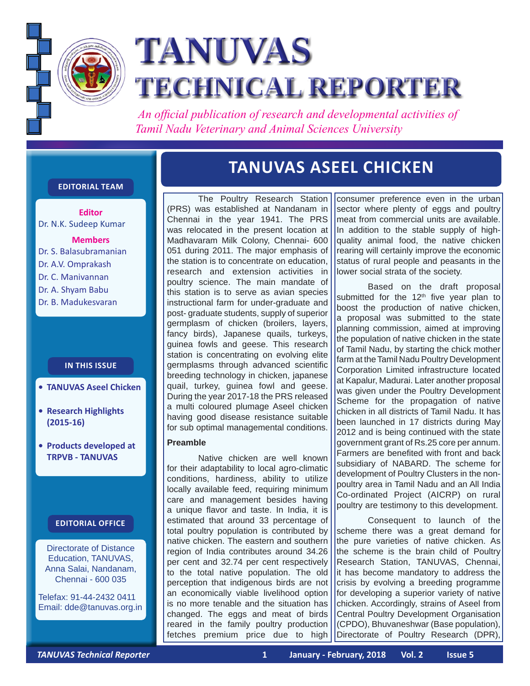

# **TANUVAS TECHNICAL REPORTER**

 *An official publication of research and developmental activities of Tamil Nadu Veterinary and Animal Sciences University*

## **Editorial Team**

**Editor** Dr. N.K. Sudeep Kumar

**Members** Dr. S. Balasubramanian Dr. A.V. Omprakash Dr. C. Manivannan Dr. A. Shyam Babu Dr. B. Madukesvaran

# **In this issue**

- **• TANU VAS Aseel Chicken**
- **• Research Highlights (2015-16)**
- **• Products developed at TRPVB - TANUVAS**

#### **Editorial Office**

Directorate of Distance Education, TANUVAS, Anna Salai, Nandanam, Chennai - 600 035

Telefax: 91-44-2432 0411 Email: dde@tanuvas.org.in

# **TANUVAS ASEEL CHICKEN**

The Poultry Research Station (PRS) was established at Nandanam in Chennai in the year 1941. The PRS was relocated in the present location at Madhavaram Milk Colony, Chennai- 600 051 during 2011. The major emphasis of the station is to concentrate on education, research and extension activities in poultry science. The main mandate of this station is to serve as avian species instructional farm for under-graduate and post- graduate students, supply of superior germplasm of chicken (broilers, layers, fancy birds), Japanese quails, turkeys, guinea fowls and geese. This research station is concentrating on evolving elite germplasms through advanced scientific breeding technology in chicken, japanese quail, turkey, guinea fowl and geese. During the year 2017-18 the PRS released a multi coloured plumage Aseel chicken having good disease resistance suitable for sub optimal managemental conditions.

#### **Preamble**

Native chicken are well known for their adaptability to local agro-climatic conditions, hardiness, ability to utilize locally available feed, requiring minimum care and management besides having a unique flavor and taste. In India, it is estimated that around 33 percentage of total poultry population is contributed by native chicken. The eastern and southern region of India contributes around 34.26 per cent and 32.74 per cent respectively to the total native population. The old perception that indigenous birds are not an economically viable livelihood option is no more tenable and the situation has changed. The eggs and meat of birds reared in the family poultry production fetches premium price due to high

consumer preference even in the urban sector where plenty of eggs and poultry meat from commercial units are available. In addition to the stable supply of highquality animal food, the native chicken rearing will certainly improve the economic status of rural people and peasants in the lower social strata of the society.

Based on the draft proposal submitted for the  $12<sup>th</sup>$  five year plan to boost the production of native chicken, a proposal was submitted to the state planning commission, aimed at improving the population of native chicken in the state of Tamil Nadu, by starting the chick mother farm at the Tamil Nadu Poultry Development Corporation Limited infrastructure located at Kapalur, Madurai. Later another proposal was given under the Poultry Development Scheme for the propagation of native chicken in all districts of Tamil Nadu. It has been launched in 17 districts during May 2012 and is being continued with the state government grant of Rs.25 core per annum. Farmers are benefited with front and back subsidiary of NABARD. The scheme for development of Poultry Clusters in the nonpoultry area in Tamil Nadu and an All India Co-ordinated Project (AICRP) on rural poultry are testimony to this development.

Consequent to launch of the scheme there was a great demand for the pure varieties of native chicken. As the scheme is the brain child of Poultry Research Station, TANUVAS, Chennai, it has become mandatory to address the crisis by evolving a breeding programme for developing a superior variety of native chicken. Accordingly, strains of Aseel from Central Poultry Development Organisation (CPDO), Bhuvaneshwar (Base population), Directorate of Poultry Research (DPR),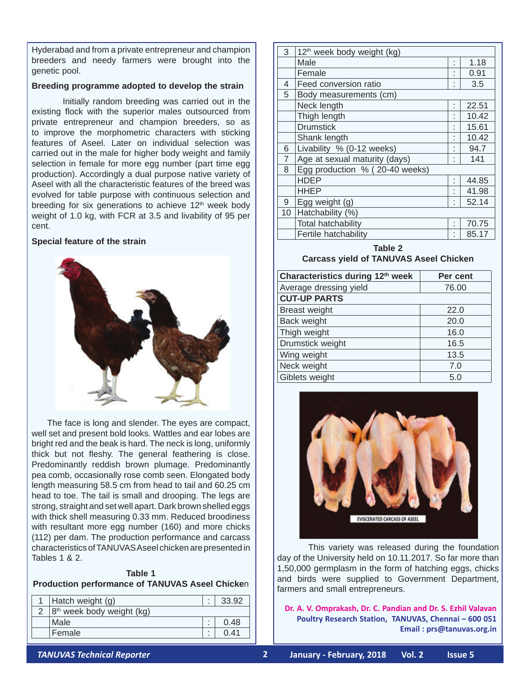Hyderabad and from a private entrepreneur and champion breeders and needy farmers were brought into the genetic pool.

#### **Breeding programme adopted to develop the strain**

Initially random breeding was carried out in the existing flock with the superior males outsourced from private entrepreneur and champion breeders, so as to improve the morphometric characters with sticking features of Aseel. Later on individual selection was carried out in the male for higher body weight and family selection in female for more egg number (part time egg production). Accordingly a dual purpose native variety of Aseel with all the characteristic features of the breed was evolved for table purpose with continuous selection and breeding for six generations to achieve  $12<sup>th</sup>$  week body weight of 1.0 kg, with FCR at 3.5 and livability of 95 per cent.

#### **Special feature of the strain**



The face is long and slender. The eyes are compact, well set and present bold looks. Wattles and ear lobes are bright red and the beak is hard. The neck is long, uniformly thick but not fleshy. The general feathering is close. Predominantly reddish brown plumage. Predominantly pea comb, occasionally rose comb seen. Elongated body length measuring 58.5 cm from head to tail and 60.25 cm head to toe. The tail is small and drooping. The legs are strong, straight and set well apart. Dark brown shelled eggs with thick shell measuring 0.33 mm. Reduced broodiness with resultant more egg number (160) and more chicks (112) per dam. The production performance and carcass characteristics of TANUVAS Aseel chicken are presented in Tables 1 & 2.

#### **Table 1 Production performance of TANUVAS Aseel Chicke**n

| 1   Hatch weight $(g)$      |   | 33.92 |
|-----------------------------|---|-------|
| $8th$ week body weight (kg) |   |       |
| Male                        |   | 0.48  |
| Female                      | ٠ |       |

| 3              | 12 <sup>th</sup> week body weight (kg) |   |       |
|----------------|----------------------------------------|---|-------|
|                | Male                                   | ٠ | 1.18  |
|                | Female                                 | ٠ | 0.91  |
| 4              | Feed conversion ratio                  | ٠ | 3.5   |
| 5              | Body measurements (cm)                 |   |       |
|                | Neck length                            | ٠ | 22.51 |
|                | Thigh length                           |   | 10.42 |
|                | <b>Drumstick</b>                       |   | 15.61 |
|                | Shank length                           |   | 10.42 |
| 6              | Livability % (0-12 weeks)              |   | 94.7  |
| $\overline{7}$ | Age at sexual maturity (days)          | ٠ | 141   |
| 8              | Egg production % (20-40 weeks)         |   |       |
|                | <b>HDEP</b>                            |   | 44.85 |
|                | <b>HHEP</b>                            | ٠ | 41.98 |
| 9              | Egg weight (g)                         | ٠ | 52.14 |
| 10             | Hatchability (%)                       |   |       |
|                | <b>Total hatchability</b>              | ٠ | 70.75 |
|                | Fertile hatchability                   | ٠ | 85.17 |

**Table 2 Carcass yield of TANUVAS Aseel Chicken**

| Characteristics during 12th week | Per cent |  |  |  |
|----------------------------------|----------|--|--|--|
| Average dressing yield           | 76.00    |  |  |  |
| <b>CUT-UP PARTS</b>              |          |  |  |  |
| <b>Breast weight</b>             | 22.0     |  |  |  |
| Back weight                      | 20.0     |  |  |  |
| Thigh weight                     | 16.0     |  |  |  |
| Drumstick weight                 | 16.5     |  |  |  |
| Wing weight                      | 13.5     |  |  |  |
| Neck weight                      | 7.0      |  |  |  |
| Giblets weight                   | 5.0      |  |  |  |



This variety was released during the foundation day of the University held on 10.11.2017. So far more than 1,50,000 germplasm in the form of hatching eggs, chicks and birds were supplied to Government Department, farmers and small entrepreneurs.

**Dr. A. V. Omprakash, Dr. C. Pandian and Dr. S. Ezhil Valavan Poultry Research Station, TANUVAS, Chennai – 600 051 Email : prs@tanuvas.org.in**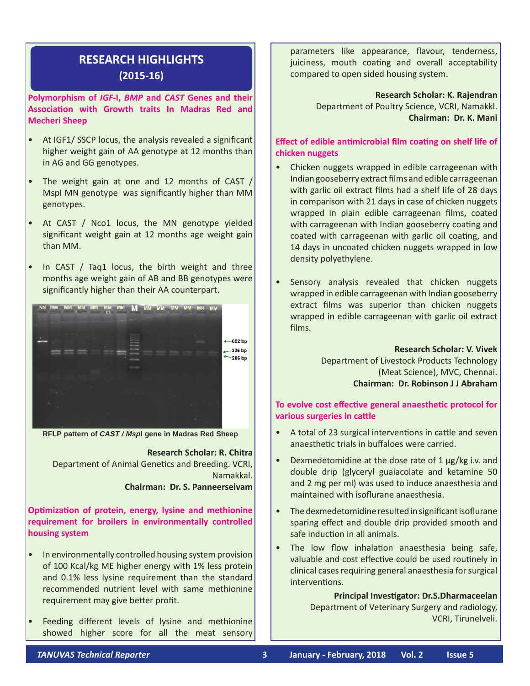# **RESEARCH HIGHLIGHTS (2015-16)**

**Polymorphism of** *IGF***-I,** *BMP* **and** *CAST* **Genes and their Association with Growth traits In Madras Red and Mecheri Sheep**

- At IGF1/ SSCP locus, the analysis revealed a significant higher weight gain of AA genotype at 12 months than in AG and GG genotypes.
- The weight gain at one and 12 months of CAST / MspI MN genotype was significantly higher than MM genotypes.
- At CAST / Nco1 locus, the MN genotype yielded significant weight gain at 12 months age weight gain than MM.
- In CAST  $/$  Taq1 locus, the birth weight and three months age weight gain of AB and BB genotypes were significantly higher than their AA counterpart.



**RFLP pattern of** *CAST / Msp***I gene in Madras Red Sheep**

**Research Scholar: R. Chitra** Department of Animal Genetics and Breeding. VCRI, Namakkal. **Chairman: Dr. S. Panneerselvam**

**Optimization of protein, energy, lysine and methionine**

**requirement for broilers in environmentally controlled housing system**

- In environmentally controlled housing system provision of 100 Kcal/kg ME higher energy with 1% less protein and 0.1% less lysine requirement than the standard recommended nutrient level with same methionine requirement may give better profit.
- Feeding different levels of lysine and methionine showed higher score for all the meat sensory

parameters like appearance, flavour, tenderness, juiciness, mouth coating and overall acceptability compared to open sided housing system.

> **Research Scholar: K. Rajendran** Department of Poultry Science, VCRI, Namakkl. **Chairman: Dr. K. Mani**

**Effect of edible antimicrobial film coating on shelf life of chicken nuggets**

- Chicken nuggets wrapped in edible carrageenan with Indian gooseberry extract films and edible carrageenan with garlic oil extract films had a shelf life of 28 days in comparison with 21 days in case of chicken nuggets wrapped in plain edible carrageenan films, coated with carrageenan with Indian gooseberry coating and coated with carrageenan with garlic oil coating, and 14 days in uncoated chicken nuggets wrapped in low density polyethylene.
- Sensory analysis revealed that chicken nuggets wrapped in edible carrageenan with Indian gooseberry extract films was superior than chicken nuggets wrapped in edible carrageenan with garlic oil extract films.

**Research Scholar: V. Vivek**

Department of Livestock Products Technology (Meat Science), MVC, Chennai. **Chairman: Dr. Robinson J J Abraham**

## **To evolve cost effective general anaesthetic protocol for various surgeries in cattle**

- • A total of 23 surgical interventions in cattle and seven anaesthetic trials in buffaloes were carried.
- Dexmedetomidine at the dose rate of  $1 \mu g/kg$  i.v. and double drip (glyceryl guaiacolate and ketamine 50 and 2 mg per ml) was used to induce anaesthesia and maintained with isoflurane anaesthesia.
- The dexmedetomidine resulted in significant isoflurane sparing effect and double drip provided smooth and safe induction in all animals.
- The low flow inhalation anaesthesia being safe, valuable and cost effective could be used routinely in clinical cases requiring general anaesthesia for surgical interventions.

**Principal Investigator: Dr.S.Dharmaceelan** Department of Veterinary Surgery and radiology, VCRI, Tirunelveli.